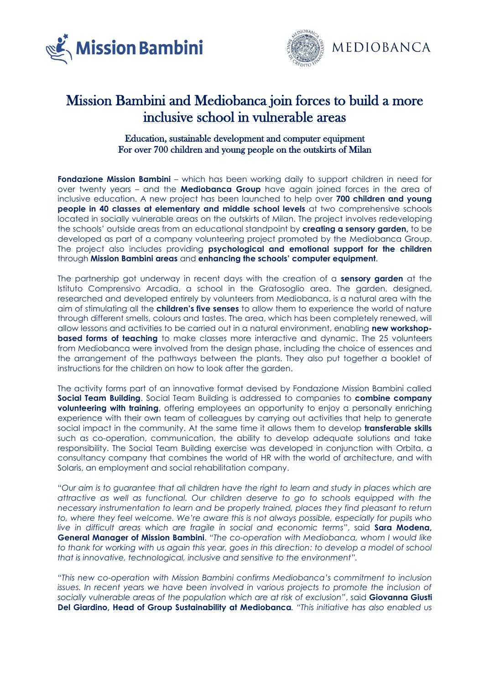



## Mission Bambini and Mediobanca join forces to build a more inclusive school in vulnerable areas

## Education, sustainable development and computer equipment For over 700 children and young people on the outskirts of Milan

**Fondazione Mission Bambini** – which has been working daily to support children in need for over twenty years – and the **Mediobanca Group** have again joined forces in the area of inclusive education. A new project has been launched to help over **700 children and young people in 40 classes at elementary and middle school levels** at two comprehensive schools located in socially vulnerable areas on the outskirts of Milan. The project involves redeveloping the schools' outside areas from an educational standpoint by **creating a sensory garden,** to be developed as part of a company volunteering project promoted by the Mediobanca Group. The project also includes providing **psychological and emotional support for the children** through **Mission Bambini areas** and **enhancing the schools' computer equipment**.

The partnership got underway in recent days with the creation of a **sensory garden** at the Istituto Comprensivo Arcadia, a school in the Gratosoglio area. The garden, designed, researched and developed entirely by volunteers from Mediobanca, is a natural area with the aim of stimulating all the **children's five senses** to allow them to experience the world of nature through different smells, colours and tastes. The area, which has been completely renewed, will allow lessons and activities to be carried out in a natural environment, enabling **new workshopbased forms of teaching** to make classes more interactive and dynamic. The 25 volunteers from Mediobanca were involved from the design phase, including the choice of essences and the arrangement of the pathways between the plants. They also put together a booklet of instructions for the children on how to look after the garden.

The activity forms part of an innovative format devised by Fondazione Mission Bambini called **Social Team Building**. Social Team Building is addressed to companies to **combine company volunteering with training**, offering employees an opportunity to enjoy a personally enriching experience with their own team of colleagues by carrying out activities that help to generate social impact in the community. At the same time it allows them to develop **transferable skills** such as co-operation, communication, the ability to develop adequate solutions and take responsibility. The Social Team Building exercise was developed in conjunction with Orbita, a consultancy company that combines the world of HR with the world of architecture, and with Solaris, an employment and social rehabilitation company.

"*Our aim is to guarantee that all children have the right to learn and study in places which are attractive as well as functional. Our children deserve to go to schools equipped with the necessary instrumentation to learn and be properly trained, places they find pleasant to return to, where they feel welcome. We're aware this is not always possible, especially for pupils who live in difficult areas which are fragile in social and economic terms*", said **Sara Modena, General Manager of Mission Bambini**. "*The co-operation with Mediobanca, whom I would like*  to thank for working with us again this year, goes in this direction: to develop a model of school *that is innovative, technological, inclusive and sensitive to the environment".*

*"This new co-operation with Mission Bambini confirms Mediobanca's commitment to inclusion issues. In recent years we have been involved in various projects to promote the inclusion of socially vulnerable areas of the population which are at risk of exclusion*", said **Giovanna Giusti Del Giardino, Head of Group Sustainability at Mediobanca***. "This initiative has also enabled us*